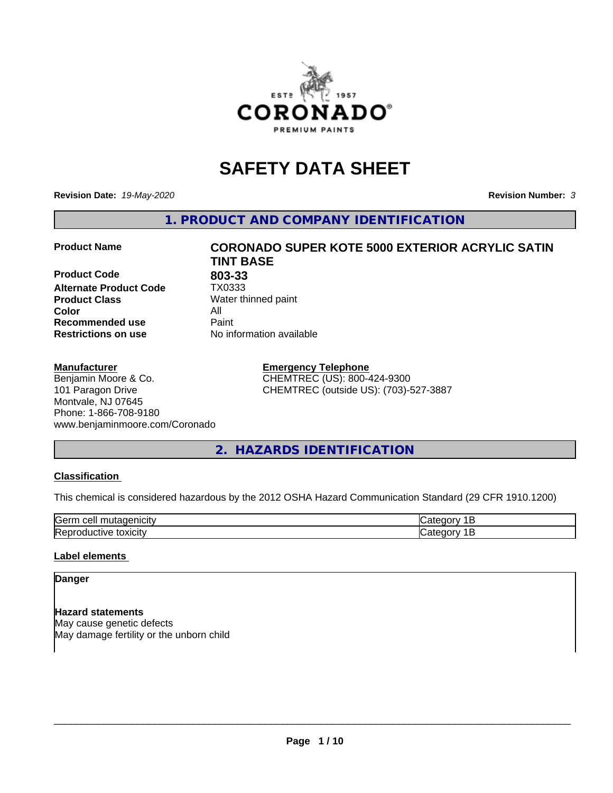

## **SAFETY DATA SHEET**

**Revision Date:** *19-May-2020* **Revision Number:** *3*

**1. PRODUCT AND COMPANY IDENTIFICATION**

**Product Code 803-33**<br>**Alternate Product Code 1X0333 Alternate Product Code Product Class** Water thinned paint<br> **Color** All **Color** All **Recommended use Caint Restrictions on use** No information available

#### **Manufacturer**

Benjamin Moore & Co. 101 Paragon Drive Montvale, NJ 07645 Phone: 1-866-708-9180 www.benjaminmoore.com/Coronado

# **Product Name CORONADO SUPER KOTE 5000 EXTERIOR ACRYLIC SATIN TINT BASE**

**Emergency Telephone** CHEMTREC (US): 800-424-9300 CHEMTREC (outside US): (703)-527-3887

#### **2. HAZARDS IDENTIFICATION**

#### **Classification**

This chemical is considered hazardous by the 2012 OSHA Hazard Communication Standard (29 CFR 1910.1200)

| $\sim$ $\sim$<br>---<br>kae:<br>$\cdot$ |  |
|-----------------------------------------|--|
| <b>Re</b><br>$-$<br>. X II              |  |

#### **Label elements**

#### **Danger**

**Hazard statements** May cause genetic defects May damage fertility or the unborn child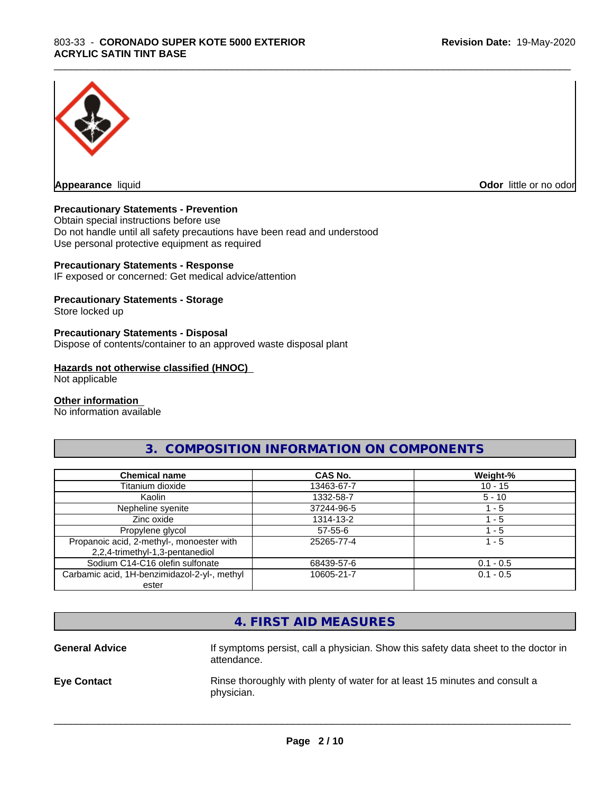

**Appearance** liquid **Odor in the original of the original of the original of the original of the original of the original of the original of the original of the original of the original of the original of the original of t** 

#### **Precautionary Statements - Prevention**

Obtain special instructions before use Do not handle until all safety precautions have been read and understood Use personal protective equipment as required

#### **Precautionary Statements - Response**

IF exposed or concerned: Get medical advice/attention

#### **Precautionary Statements - Storage**

Store locked up

#### **Precautionary Statements - Disposal**

Dispose of contents/container to an approved waste disposal plant

#### **Hazards not otherwise classified (HNOC)**

Not applicable

#### **Other information**

No information available

#### **3. COMPOSITION INFORMATION ON COMPONENTS**

\_\_\_\_\_\_\_\_\_\_\_\_\_\_\_\_\_\_\_\_\_\_\_\_\_\_\_\_\_\_\_\_\_\_\_\_\_\_\_\_\_\_\_\_\_\_\_\_\_\_\_\_\_\_\_\_\_\_\_\_\_\_\_\_\_\_\_\_\_\_\_\_\_\_\_\_\_\_\_\_\_\_\_\_\_\_\_\_\_\_\_\_\_

| <b>Chemical name</b>                                                         | CAS No.    | Weight-%    |
|------------------------------------------------------------------------------|------------|-------------|
| Titanium dioxide                                                             | 13463-67-7 | $10 - 15$   |
| Kaolin                                                                       | 1332-58-7  | $5 - 10$    |
| Nepheline syenite                                                            | 37244-96-5 | l - 5       |
| Zinc oxide                                                                   | 1314-13-2  | $-5$        |
| Propylene glycol                                                             | 57-55-6    | 1 - 5       |
| Propanoic acid, 2-methyl-, monoester with<br>2,2,4-trimethyl-1,3-pentanediol | 25265-77-4 | 1 - 5       |
| Sodium C14-C16 olefin sulfonate                                              | 68439-57-6 | $0.1 - 0.5$ |
| Carbamic acid, 1H-benzimidazol-2-yl-, methyl                                 | 10605-21-7 | $0.1 - 0.5$ |
| ester                                                                        |            |             |

|                       | 4. FIRST AID MEASURES                                                                              |
|-----------------------|----------------------------------------------------------------------------------------------------|
| <b>General Advice</b> | If symptoms persist, call a physician. Show this safety data sheet to the doctor in<br>attendance. |
| <b>Eye Contact</b>    | Rinse thoroughly with plenty of water for at least 15 minutes and consult a<br>physician.          |
|                       |                                                                                                    |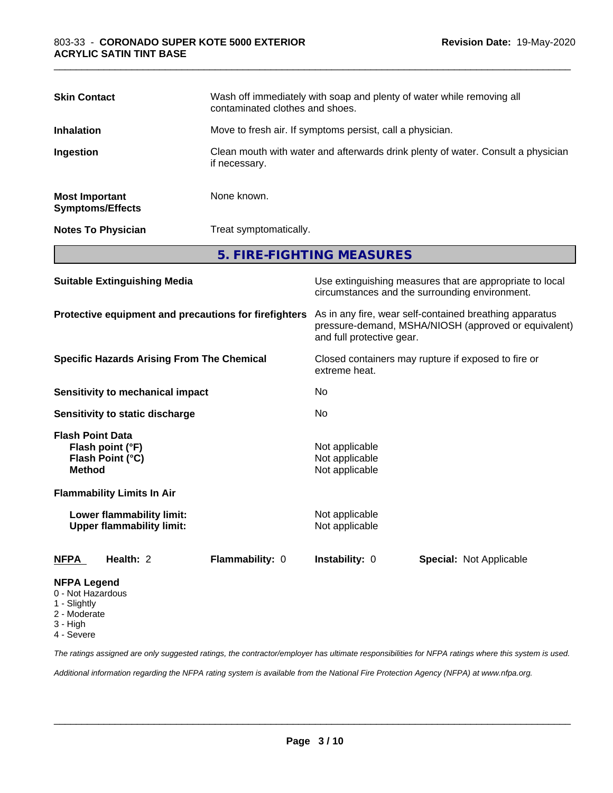| <b>Skin Contact</b>                              | Wash off immediately with soap and plenty of water while removing all<br>contaminated clothes and shoes. |
|--------------------------------------------------|----------------------------------------------------------------------------------------------------------|
| <b>Inhalation</b>                                | Move to fresh air. If symptoms persist, call a physician.                                                |
| Ingestion                                        | Clean mouth with water and afterwards drink plenty of water. Consult a physician<br>if necessary.        |
| <b>Most Important</b><br><b>Symptoms/Effects</b> | None known.                                                                                              |
| <b>Notes To Physician</b>                        | Treat symptomatically.                                                                                   |
|                                                  | 5. FIRE-FIGHTING MEASURES                                                                                |

| <b>Suitable Extinguishing Media</b>                                              | Use extinguishing measures that are appropriate to local<br>circumstances and the surrounding environment.                                   |  |  |
|----------------------------------------------------------------------------------|----------------------------------------------------------------------------------------------------------------------------------------------|--|--|
| Protective equipment and precautions for firefighters                            | As in any fire, wear self-contained breathing apparatus<br>pressure-demand, MSHA/NIOSH (approved or equivalent)<br>and full protective gear. |  |  |
| <b>Specific Hazards Arising From The Chemical</b>                                | Closed containers may rupture if exposed to fire or<br>extreme heat.                                                                         |  |  |
| <b>Sensitivity to mechanical impact</b>                                          | No                                                                                                                                           |  |  |
| Sensitivity to static discharge                                                  | No.                                                                                                                                          |  |  |
| <b>Flash Point Data</b><br>Flash point (°F)<br>Flash Point (°C)<br><b>Method</b> | Not applicable<br>Not applicable<br>Not applicable                                                                                           |  |  |
| <b>Flammability Limits In Air</b>                                                |                                                                                                                                              |  |  |
| Lower flammability limit:<br><b>Upper flammability limit:</b>                    | Not applicable<br>Not applicable                                                                                                             |  |  |
| Health: 2<br>Flammability: 0<br><b>NFPA</b>                                      | <b>Instability: 0</b><br><b>Special: Not Applicable</b>                                                                                      |  |  |
| <b>NFPA Legend</b><br>0 - Not Hazardous<br>1 - Slightly                          |                                                                                                                                              |  |  |

- 
- 2 Moderate
- 3 High
- 4 Severe

*The ratings assigned are only suggested ratings, the contractor/employer has ultimate responsibilities for NFPA ratings where this system is used.*

*Additional information regarding the NFPA rating system is available from the National Fire Protection Agency (NFPA) at www.nfpa.org.*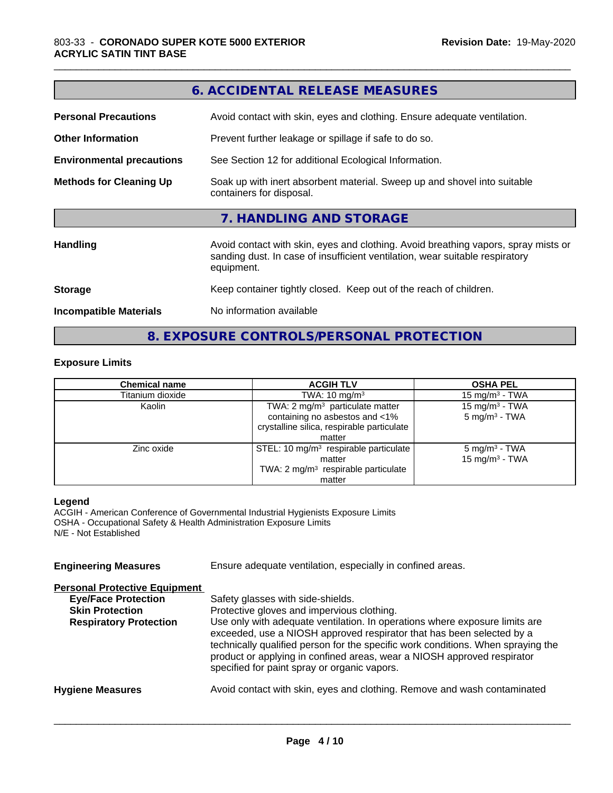|                                  | 6. ACCIDENTAL RELEASE MEASURES                                                                                                                                                   |  |  |
|----------------------------------|----------------------------------------------------------------------------------------------------------------------------------------------------------------------------------|--|--|
| <b>Personal Precautions</b>      | Avoid contact with skin, eyes and clothing. Ensure adequate ventilation.                                                                                                         |  |  |
| <b>Other Information</b>         | Prevent further leakage or spillage if safe to do so.                                                                                                                            |  |  |
| <b>Environmental precautions</b> | See Section 12 for additional Ecological Information.                                                                                                                            |  |  |
| <b>Methods for Cleaning Up</b>   | Soak up with inert absorbent material. Sweep up and shovel into suitable<br>containers for disposal.                                                                             |  |  |
|                                  | 7. HANDLING AND STORAGE                                                                                                                                                          |  |  |
| <b>Handling</b>                  | Avoid contact with skin, eyes and clothing. Avoid breathing vapors, spray mists or<br>sanding dust. In case of insufficient ventilation, wear suitable respiratory<br>equipment. |  |  |
| <b>Storage</b>                   | Keep container tightly closed. Keep out of the reach of children.                                                                                                                |  |  |
| <b>Incompatible Materials</b>    | No information available                                                                                                                                                         |  |  |

#### **Exposure Limits**

| <b>Chemical name</b> | <b>ACGIH TLV</b>                                  | <b>OSHA PEL</b>            |
|----------------------|---------------------------------------------------|----------------------------|
| Titanium dioxide     | TWA: $10 \text{ mg/m}^3$                          | $15 \text{ mg/m}^3$ - TWA  |
| Kaolin               | TWA: $2 \text{ mg/m}^3$ particulate matter        | 15 mg/m <sup>3</sup> - TWA |
|                      | containing no asbestos and <1%                    | $5 \text{ mg/m}^3$ - TWA   |
|                      | crystalline silica, respirable particulate        |                            |
|                      | matter                                            |                            |
| Zinc oxide           | STEL: 10 mg/m <sup>3</sup> respirable particulate | $5 \text{ mg/m}^3$ - TWA   |
|                      | matter                                            | 15 mg/m <sup>3</sup> - TWA |
|                      | TWA: 2 mg/m <sup>3</sup> respirable particulate   |                            |
|                      | matter                                            |                            |

**8. EXPOSURE CONTROLS/PERSONAL PROTECTION**

#### **Legend**

ACGIH - American Conference of Governmental Industrial Hygienists Exposure Limits OSHA - Occupational Safety & Health Administration Exposure Limits N/E - Not Established

**Engineering Measures** Ensure adequate ventilation, especially in confined areas.

### **Personal Protective Equipment**

| <b>Eye/Face Protection</b><br><b>Skin Protection</b><br><b>Respiratory Protection</b> | Safety glasses with side-shields.<br>Protective gloves and impervious clothing.<br>Use only with adequate ventilation. In operations where exposure limits are<br>exceeded, use a NIOSH approved respirator that has been selected by a<br>technically qualified person for the specific work conditions. When spraying the<br>product or applying in confined areas, wear a NIOSH approved respirator |
|---------------------------------------------------------------------------------------|--------------------------------------------------------------------------------------------------------------------------------------------------------------------------------------------------------------------------------------------------------------------------------------------------------------------------------------------------------------------------------------------------------|
| <b>Hygiene Measures</b>                                                               | specified for paint spray or organic vapors.<br>Avoid contact with skin, eyes and clothing. Remove and wash contaminated                                                                                                                                                                                                                                                                               |
|                                                                                       |                                                                                                                                                                                                                                                                                                                                                                                                        |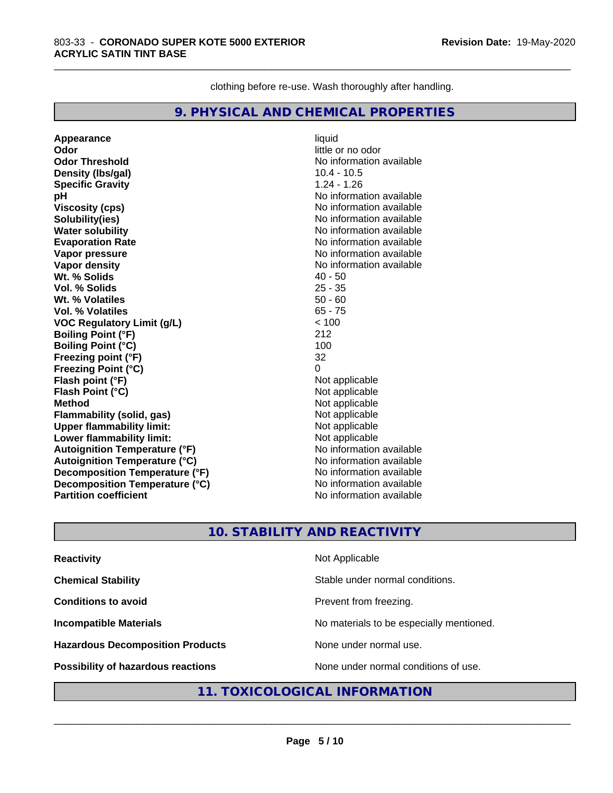clothing before re-use. Wash thoroughly after handling.

\_\_\_\_\_\_\_\_\_\_\_\_\_\_\_\_\_\_\_\_\_\_\_\_\_\_\_\_\_\_\_\_\_\_\_\_\_\_\_\_\_\_\_\_\_\_\_\_\_\_\_\_\_\_\_\_\_\_\_\_\_\_\_\_\_\_\_\_\_\_\_\_\_\_\_\_\_\_\_\_\_\_\_\_\_\_\_\_\_\_\_\_\_

#### **9. PHYSICAL AND CHEMICAL PROPERTIES**

**Appearance** liquid **Odor** little or no odor **Odor Threshold** No information available **Density (lbs/gal)** 10.4 - 10.5<br> **Specific Gravity** 1.24 - 1.26 **Specific Gravity pH pH**  $\blacksquare$ **Viscosity (cps)** No information available **Solubility(ies)** No information available **Water solubility**<br> **Evaporation Rate**<br> **Evaporation Rate**<br> **Evaporation Rate Vapor pressure**<br> **Vapor density**<br> **Vapor density**<br> **Vapor density**<br> **Vapor density Wt. % Solids Vol. % Solids** 25 - 35 **Wt. % Volatiles** 50 - 60 **Vol. % Volatiles VOC Regulatory Limit (g/L)** < 100 **Boiling Point (°F)** 212 **Boiling Point (°C)** 100 **Freezing point (°F)** 32 **Freezing Point (°C) Flash point (°F)**<br> **Flash Point (°C)**<br> **Flash Point (°C)**<br> **Compare Server All Alta Annual Mothematic Not applicable Flash Point (°C) Method**<br> **Flammability (solid. gas)**<br> **Example 2018** Not applicable **Flammability** (solid, gas) **Upper flammability limit:**<br> **Lower flammability limit:** Not applicable Not applicable **Lower flammability limit: Autoignition Temperature (°F)** No information available **Autoignition Temperature (°C)**<br> **Decomposition Temperature (°F)** No information available **Decomposition Temperature (°F) Decomposition Temperature (°C)** No information available<br> **Partition coefficient Partition available Partition coefficient** 

**Evaporation Rate** No information available **No information available**<br>**40 - 50** 

#### **10. STABILITY AND REACTIVITY**

| <b>Reactivity</b>                       | Not Applicable                           |
|-----------------------------------------|------------------------------------------|
| <b>Chemical Stability</b>               | Stable under normal conditions.          |
| <b>Conditions to avoid</b>              | Prevent from freezing.                   |
| <b>Incompatible Materials</b>           | No materials to be especially mentioned. |
| <b>Hazardous Decomposition Products</b> | None under normal use.                   |
| Possibility of hazardous reactions      | None under normal conditions of use.     |

#### **11. TOXICOLOGICAL INFORMATION**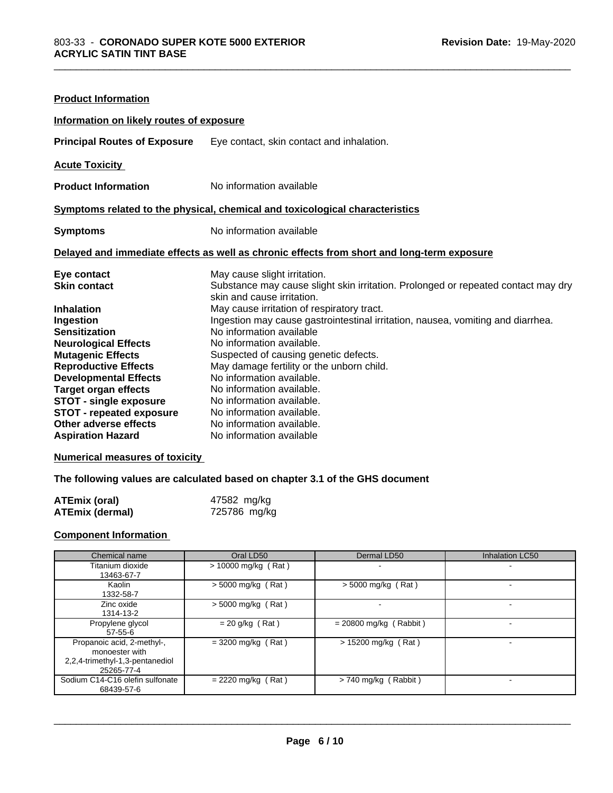| <b>Product Information</b>                                                                                                                                                                                                                                                                                                                         |                                                                                                                                                                                                                                                                                                                                                                                                                                                                                                                                                                                  |  |  |
|----------------------------------------------------------------------------------------------------------------------------------------------------------------------------------------------------------------------------------------------------------------------------------------------------------------------------------------------------|----------------------------------------------------------------------------------------------------------------------------------------------------------------------------------------------------------------------------------------------------------------------------------------------------------------------------------------------------------------------------------------------------------------------------------------------------------------------------------------------------------------------------------------------------------------------------------|--|--|
| Information on likely routes of exposure                                                                                                                                                                                                                                                                                                           |                                                                                                                                                                                                                                                                                                                                                                                                                                                                                                                                                                                  |  |  |
| <b>Principal Routes of Exposure</b>                                                                                                                                                                                                                                                                                                                | Eye contact, skin contact and inhalation.                                                                                                                                                                                                                                                                                                                                                                                                                                                                                                                                        |  |  |
| <b>Acute Toxicity</b>                                                                                                                                                                                                                                                                                                                              |                                                                                                                                                                                                                                                                                                                                                                                                                                                                                                                                                                                  |  |  |
| <b>Product Information</b>                                                                                                                                                                                                                                                                                                                         | No information available                                                                                                                                                                                                                                                                                                                                                                                                                                                                                                                                                         |  |  |
| Symptoms related to the physical, chemical and toxicological characteristics                                                                                                                                                                                                                                                                       |                                                                                                                                                                                                                                                                                                                                                                                                                                                                                                                                                                                  |  |  |
| <b>Symptoms</b>                                                                                                                                                                                                                                                                                                                                    | No information available                                                                                                                                                                                                                                                                                                                                                                                                                                                                                                                                                         |  |  |
| Delayed and immediate effects as well as chronic effects from short and long-term exposure                                                                                                                                                                                                                                                         |                                                                                                                                                                                                                                                                                                                                                                                                                                                                                                                                                                                  |  |  |
| Eye contact<br><b>Skin contact</b><br><b>Inhalation</b><br>Ingestion<br><b>Sensitization</b><br><b>Neurological Effects</b><br><b>Mutagenic Effects</b><br><b>Reproductive Effects</b><br><b>Developmental Effects</b><br><b>Target organ effects</b><br><b>STOT - single exposure</b><br><b>STOT - repeated exposure</b><br>Other adverse effects | May cause slight irritation.<br>Substance may cause slight skin irritation. Prolonged or repeated contact may dry<br>skin and cause irritation.<br>May cause irritation of respiratory tract.<br>Ingestion may cause gastrointestinal irritation, nausea, vomiting and diarrhea.<br>No information available<br>No information available.<br>Suspected of causing genetic defects.<br>May damage fertility or the unborn child.<br>No information available.<br>No information available.<br>No information available.<br>No information available.<br>No information available. |  |  |

#### **Numerical measures of toxicity**

#### **The following values are calculated based on chapter 3.1 of the GHS document**

| <b>ATEmix (oral)</b>   | 47582 mg/kg  |
|------------------------|--------------|
| <b>ATEmix (dermal)</b> | 725786 mg/kg |

#### **Component Information**

| Chemical name                                                                                 | Oral LD50             | Dermal LD50              | Inhalation LC50 |
|-----------------------------------------------------------------------------------------------|-----------------------|--------------------------|-----------------|
| Titanium dioxide<br>13463-67-7                                                                | $> 10000$ mg/kg (Rat) |                          | -               |
| Kaolin<br>1332-58-7                                                                           | $>$ 5000 mg/kg (Rat)  | $>$ 5000 mg/kg (Rat)     |                 |
| Zinc oxide<br>1314-13-2                                                                       | $>$ 5000 mg/kg (Rat)  |                          |                 |
| Propylene glycol<br>$57-55-6$                                                                 | $= 20$ g/kg (Rat)     | $= 20800$ mg/kg (Rabbit) |                 |
| Propanoic acid, 2-methyl-,<br>monoester with<br>2,2,4-trimethyl-1,3-pentanediol<br>25265-77-4 | $= 3200$ mg/kg (Rat)  | > 15200 mg/kg (Rat)      |                 |
| Sodium C14-C16 olefin sulfonate<br>68439-57-6                                                 | $= 2220$ mg/kg (Rat)  | > 740 mg/kg (Rabbit)     |                 |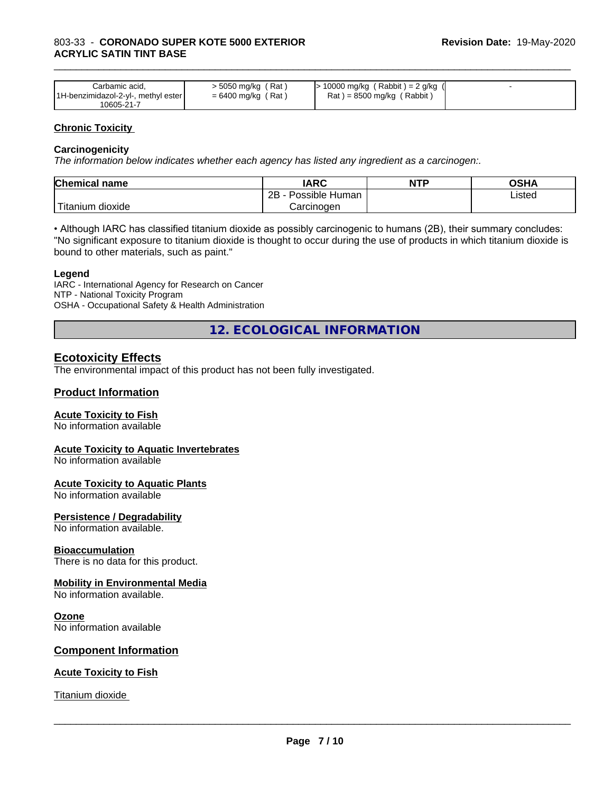| Carbamic acid.<br>1H-benzimidazol-2-yl-, methyl ester | > 5050 mg/kg (Rat)<br>$= 6400$ mg/kg (Rat) | > 10000 mg/kg ( Rabbit ) = 2 g/kg (<br>$Rat$ = 8500 mg/kg (Rabbit) |  |
|-------------------------------------------------------|--------------------------------------------|--------------------------------------------------------------------|--|
| 10605-21-7                                            |                                            |                                                                    |  |

#### **Chronic Toxicity**

#### **Carcinogenicity**

*The information below indicateswhether each agency has listed any ingredient as a carcinogen:.*

| <b>Chemical</b><br>name             | <b>IARC</b>                    | <b>NTP</b> | ດເ⊔∧<br>שרט |
|-------------------------------------|--------------------------------|------------|-------------|
|                                     | . .<br>2B<br>Human<br>Possible |            | ∟isted      |
| $-1$<br>. dioxide<br><b>itanium</b> | Carcinogen                     |            |             |

• Although IARC has classified titanium dioxide as possibly carcinogenic to humans (2B), their summary concludes: "No significant exposure to titanium dioxide is thought to occur during the use of products in which titanium dioxide is bound to other materials, such as paint."

#### **Legend**

IARC - International Agency for Research on Cancer NTP - National Toxicity Program OSHA - Occupational Safety & Health Administration

**12. ECOLOGICAL INFORMATION**

#### **Ecotoxicity Effects**

The environmental impact of this product has not been fully investigated.

#### **Product Information**

#### **Acute Toxicity to Fish**

No information available

#### **Acute Toxicity to Aquatic Invertebrates**

No information available

#### **Acute Toxicity to Aquatic Plants**

No information available

#### **Persistence / Degradability**

No information available.

#### **Bioaccumulation**

There is no data for this product.

#### **Mobility in Environmental Media**

No information available.

#### **Ozone**

No information available

#### **Component Information**

#### **Acute Toxicity to Fish**

Titanium dioxide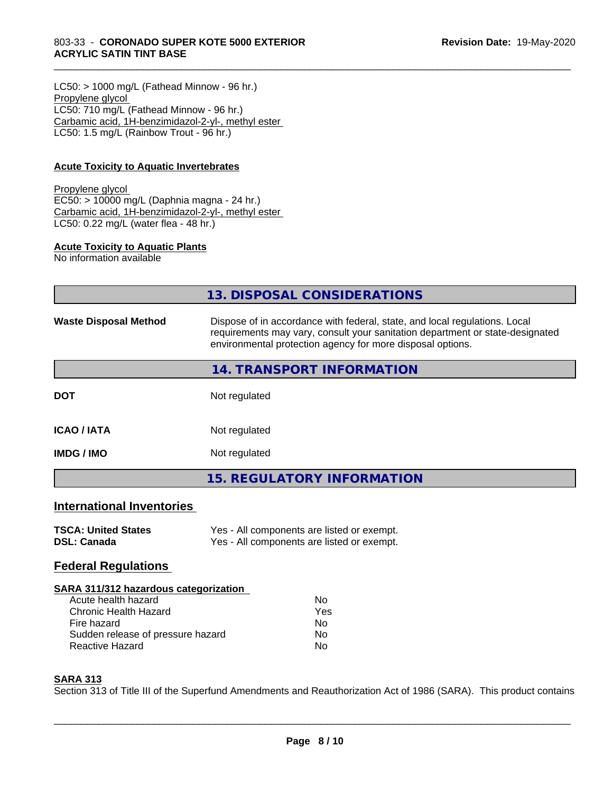#### 803-33 - **CORONADO SUPER KOTE 5000 EXTERIOR ACRYLIC SATIN TINT BASE**

 $LC50:$  > 1000 mg/L (Fathead Minnow - 96 hr.) Propylene glycol LC50: 710 mg/L (Fathead Minnow - 96 hr.) Carbamic acid, 1H-benzimidazol-2-yl-, methyl ester LC50: 1.5 mg/L (Rainbow Trout - 96 hr.)

#### **Acute Toxicity to Aquatic Invertebrates**

#### Propylene glycol EC50: > 10000 mg/L (Daphnia magna - 24 hr.) Carbamic acid, 1H-benzimidazol-2-yl-, methyl ester LC50: 0.22 mg/L (water flea - 48 hr.)

#### **Acute Toxicity to Aquatic Plants**

No information available

|                                  | 13. DISPOSAL CONSIDERATIONS                                                                                                                                                                                               |
|----------------------------------|---------------------------------------------------------------------------------------------------------------------------------------------------------------------------------------------------------------------------|
| <b>Waste Disposal Method</b>     | Dispose of in accordance with federal, state, and local regulations. Local<br>requirements may vary, consult your sanitation department or state-designated<br>environmental protection agency for more disposal options. |
|                                  | 14. TRANSPORT INFORMATION                                                                                                                                                                                                 |
| <b>DOT</b>                       | Not regulated                                                                                                                                                                                                             |
| <b>ICAO/IATA</b>                 | Not regulated                                                                                                                                                                                                             |
| <b>IMDG / IMO</b>                | Not regulated                                                                                                                                                                                                             |
|                                  | <b>15. REGULATORY INFORMATION</b>                                                                                                                                                                                         |
| <b>International Inventories</b> |                                                                                                                                                                                                                           |
|                                  |                                                                                                                                                                                                                           |

\_\_\_\_\_\_\_\_\_\_\_\_\_\_\_\_\_\_\_\_\_\_\_\_\_\_\_\_\_\_\_\_\_\_\_\_\_\_\_\_\_\_\_\_\_\_\_\_\_\_\_\_\_\_\_\_\_\_\_\_\_\_\_\_\_\_\_\_\_\_\_\_\_\_\_\_\_\_\_\_\_\_\_\_\_\_\_\_\_\_\_\_\_

| <b>TSCA: United States</b> | Yes - All components are listed or exempt. |
|----------------------------|--------------------------------------------|
| DSL: Canada                | Yes - All components are listed or exempt. |

#### **Federal Regulations**

#### **SARA 311/312 hazardous categorization**

| Acute health hazard               | N٥  |
|-----------------------------------|-----|
| Chronic Health Hazard             | Yes |
| Fire hazard                       | Nο  |
| Sudden release of pressure hazard | Nο  |
| Reactive Hazard                   | N٥  |

#### **SARA 313**

Section 313 of Title III of the Superfund Amendments and Reauthorization Act of 1986 (SARA). This product contains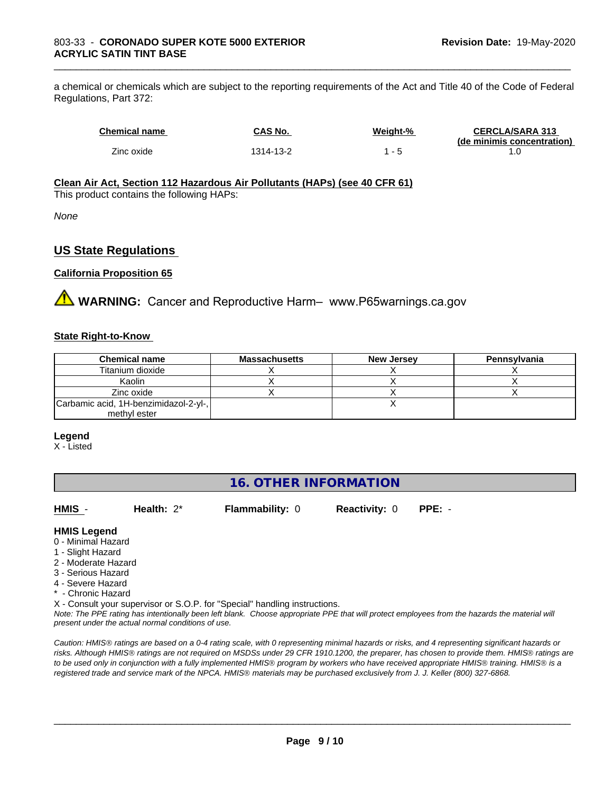a chemical or chemicals which are subject to the reporting requirements of the Act and Title 40 of the Code of Federal Regulations, Part 372:

| <b>Chemical name</b> | CAS No.   | Weight-%                 | <b>CERCLA/SARA 313</b><br>(de minimis concentration) |
|----------------------|-----------|--------------------------|------------------------------------------------------|
| Zinc oxide           | 1314-13-2 | $\overline{\phantom{0}}$ |                                                      |

\_\_\_\_\_\_\_\_\_\_\_\_\_\_\_\_\_\_\_\_\_\_\_\_\_\_\_\_\_\_\_\_\_\_\_\_\_\_\_\_\_\_\_\_\_\_\_\_\_\_\_\_\_\_\_\_\_\_\_\_\_\_\_\_\_\_\_\_\_\_\_\_\_\_\_\_\_\_\_\_\_\_\_\_\_\_\_\_\_\_\_\_\_

#### **Clean Air Act,Section 112 Hazardous Air Pollutants (HAPs) (see 40 CFR 61)**

This product contains the following HAPs:

*None*

#### **US State Regulations**

#### **California Proposition 65**

**AVIMARNING:** Cancer and Reproductive Harm– www.P65warnings.ca.gov

#### **State Right-to-Know**

| <b>Chemical name</b>                  | <b>Massachusetts</b> | <b>New Jersey</b> | Pennsylvania |
|---------------------------------------|----------------------|-------------------|--------------|
| Titanium dioxide                      |                      |                   |              |
| Kaolin                                |                      |                   |              |
| Zinc oxide                            |                      |                   |              |
| Carbamic acid, 1H-benzimidazol-2-yl-, |                      |                   |              |
| methyl ester                          |                      |                   |              |

#### **Legend**

X - Listed

#### **16. OTHER INFORMATION**

**HMIS** - **Health:** 2\* **Flammability:** 0 **Reactivity:** 0 **PPE:** -

 $\overline{\phantom{a}}$  ,  $\overline{\phantom{a}}$  ,  $\overline{\phantom{a}}$  ,  $\overline{\phantom{a}}$  ,  $\overline{\phantom{a}}$  ,  $\overline{\phantom{a}}$  ,  $\overline{\phantom{a}}$  ,  $\overline{\phantom{a}}$  ,  $\overline{\phantom{a}}$  ,  $\overline{\phantom{a}}$  ,  $\overline{\phantom{a}}$  ,  $\overline{\phantom{a}}$  ,  $\overline{\phantom{a}}$  ,  $\overline{\phantom{a}}$  ,  $\overline{\phantom{a}}$  ,  $\overline{\phantom{a}}$ 

#### **HMIS Legend**

- 0 Minimal Hazard
- 1 Slight Hazard
- 2 Moderate Hazard
- 3 Serious Hazard
- 4 Severe Hazard
- \* Chronic Hazard
- X Consult your supervisor or S.O.P. for "Special" handling instructions.

*Note: The PPE rating has intentionally been left blank. Choose appropriate PPE that will protect employees from the hazards the material will present under the actual normal conditions of use.*

*Caution: HMISÒ ratings are based on a 0-4 rating scale, with 0 representing minimal hazards or risks, and 4 representing significant hazards or risks. Although HMISÒ ratings are not required on MSDSs under 29 CFR 1910.1200, the preparer, has chosen to provide them. HMISÒ ratings are to be used only in conjunction with a fully implemented HMISÒ program by workers who have received appropriate HMISÒ training. HMISÒ is a registered trade and service mark of the NPCA. HMISÒ materials may be purchased exclusively from J. J. Keller (800) 327-6868.*